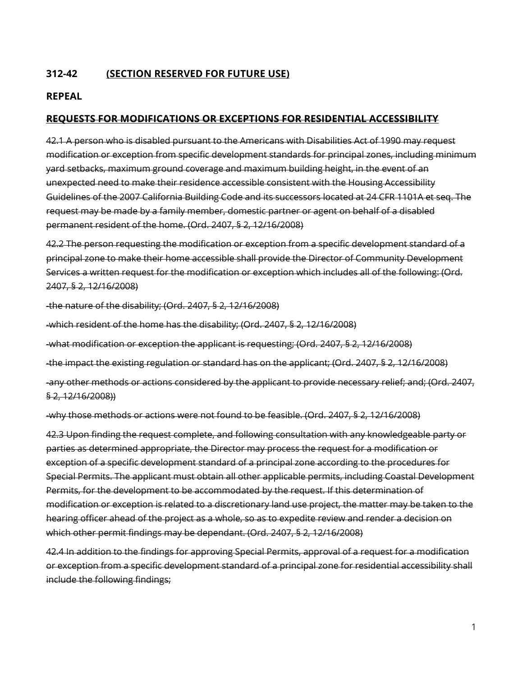#### **312-42 (SECTION RESERVED FOR FUTURE USE)**

#### **REPEAL**

#### **REQUESTS FOR MODIFICATIONS OR EXCEPTIONS FOR RESIDENTIAL ACCESSIBILITY**

42.1 A person who is disabled pursuant to the Americans with Disabilities Act of 1990 may request modification or exception from specific development standards for principal zones, including minimum yard setbacks, maximum ground coverage and maximum building height, in the event of an unexpected need to make their residence accessible consistent with the Housing Accessibility Guidelines of the 2007 California Building Code and its successors located at 24 CFR 1101A et seq. The request may be made by a family member, domestic partner or agent on behalf of a disabled permanent resident of the home. (Ord. 2407, § 2, 12/16/2008)

42.2 The person requesting the modification or exception from a specific development standard of a principal zone to make their home accessible shall provide the Director of Community Development Services a written request for the modification or exception which includes all of the following: (Ord. 2407, § 2, 12/16/2008)

-the nature of the disability; (Ord. 2407, § 2, 12/16/2008)

-which resident of the home has the disability; (Ord. 2407, § 2, 12/16/2008)

-what modification or exception the applicant is requesting; (Ord. 2407, § 2, 12/16/2008)

-the impact the existing regulation or standard has on the applicant; (Ord. 2407, § 2, 12/16/2008)

-any other methods or actions considered by the applicant to provide necessary relief; and; (Ord. 2407, § 2, 12/16/2008))

-why those methods or actions were not found to be feasible. (Ord. 2407, § 2, 12/16/2008)

42.3 Upon finding the request complete, and following consultation with any knowledgeable party or parties as determined appropriate, the Director may process the request for a modification or exception of a specific development standard of a principal zone according to the procedures for Special Permits. The applicant must obtain all other applicable permits, including Coastal Development Permits, for the development to be accommodated by the request. If this determination of modification or exception is related to a discretionary land use project, the matter may be taken to the hearing officer ahead of the project as a whole, so as to expedite review and render a decision on which other permit findings may be dependant. (Ord. 2407, § 2, 12/16/2008)

42.4 In addition to the findings for approving Special Permits, approval of a request for a modification or exception from a specific development standard of a principal zone for residential accessibility shall include the following findings;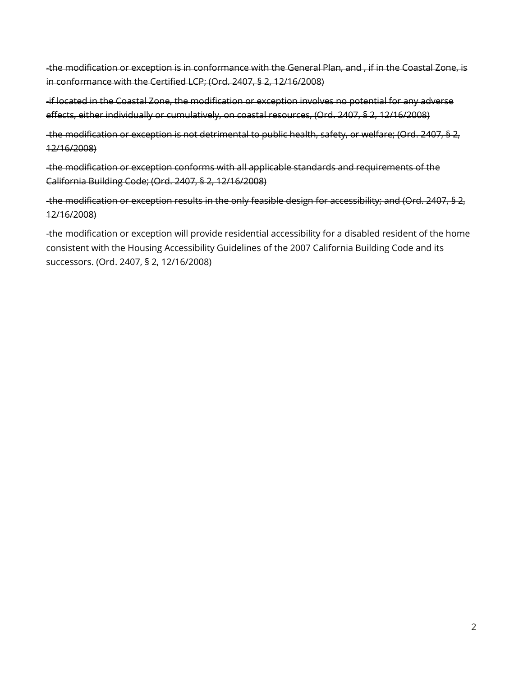-the modification or exception is in conformance with the General Plan, and , if in the Coastal Zone, is in conformance with the Certified LCP; (Ord. 2407, § 2, 12/16/2008)

-if located in the Coastal Zone, the modification or exception involves no potential for any adverse effects, either individually or cumulatively, on coastal resources, (Ord. 2407, § 2, 12/16/2008)

-the modification or exception is not detrimental to public health, safety, or welfare; (Ord. 2407, § 2, 12/16/2008)

-the modification or exception conforms with all applicable standards and requirements of the California Building Code; (Ord. 2407, § 2, 12/16/2008)

-the modification or exception results in the only feasible design for accessibility; and (Ord. 2407, § 2, 12/16/2008)

-the modification or exception will provide residential accessibility for a disabled resident of the home consistent with the Housing Accessibility Guidelines of the 2007 California Building Code and its successors. (Ord. 2407, § 2, 12/16/2008)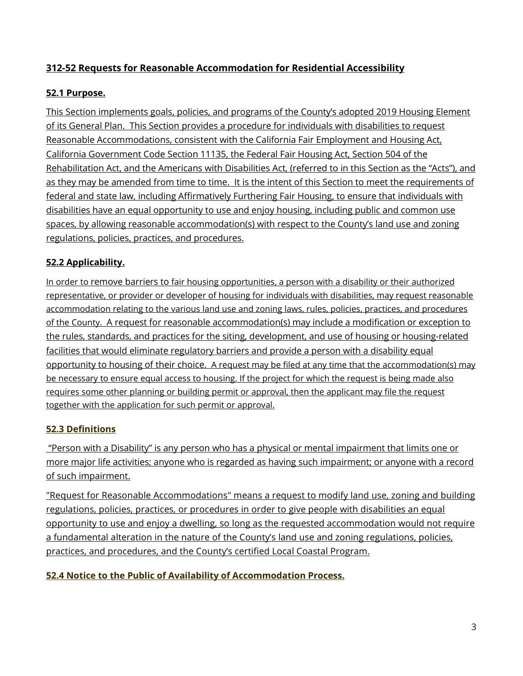## **312-52 Requests for Reasonable Accommodation for Residential Accessibility**

#### **52.1 Purpose.**

This Section implements goals, policies, and programs of the County's adopted 2019 Housing Element of its General Plan. This Section provides a procedure for individuals with disabilities to request Reasonable Accommodations, consistent with the California Fair Employment and Housing Act, California Government Code Section 11135, the Federal Fair Housing Act, Section 504 of the Rehabilitation Act, and the Americans with Disabilities Act, (referred to in this Section as the "Acts"), and as they may be amended from time to time. It is the intent of this Section to meet the requirements of federal and state law, including Affirmatively Furthering Fair Housing, to ensure that individuals with disabilities have an equal opportunity to use and enjoy housing, including public and common use spaces, by allowing reasonable accommodation(s) with respect to the County's land use and zoning regulations, policies, practices, and procedures.

#### **52.2 Applicability.**

In order to remove barriers to fair housing opportunities, a person with a disability or their authorized representative, or provider or developer of housing for individuals with disabilities, may request reasonable accommodation relating to the various land use and zoning laws, rules, policies, practices, and procedures of the County. A request for reasonable accommodation(s) may include a modification or exception to the rules, standards, and practices for the siting, development, and use of housing or housing-related facilities that would eliminate regulatory barriers and provide a person with a disability equal opportunity to housing of their choice. A request may be filed at any time that the accommodation(s) may be necessary to ensure equal access to housing. If the project for which the request is being made also requires some other planning or building permit or approval, then the applicant may file the request together with the application for such permit or approval.

#### **52.3 Definitions**

"Person with a Disability" is any person who has a physical or mental impairment that limits one or more major life activities; anyone who is regarded as having such impairment; or anyone with a record of such impairment.

"Request for Reasonable Accommodations" means a request to modify land use, zoning and building regulations, policies, practices, or procedures in order to give people with disabilities an equal opportunity to use and enjoy a dwelling, so long as the requested accommodation would not require a fundamental alteration in the nature of the County's land use and zoning regulations, policies, practices, and procedures, and the County's certified Local Coastal Program.

## **52.4 Notice to the Public of Availability of Accommodation Process.**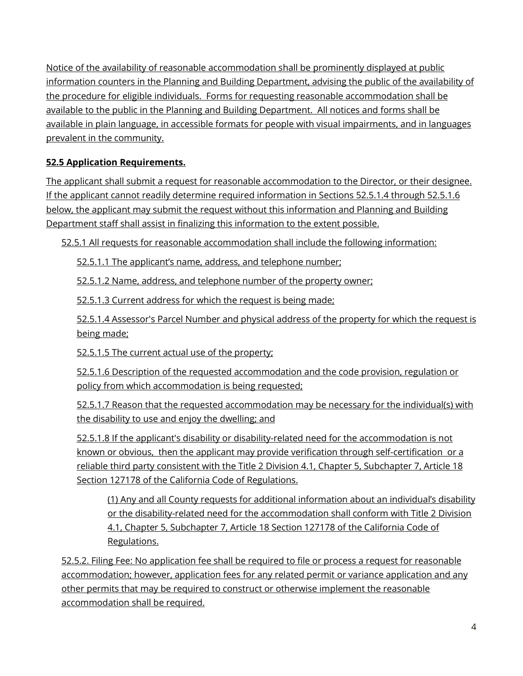Notice of the availability of reasonable accommodation shall be prominently displayed at public information counters in the Planning and Building Department, advising the public of the availability of the procedure for eligible individuals. Forms for requesting reasonable accommodation shall be available to the public in the Planning and Building Department. All notices and forms shall be available in plain language, in accessible formats for people with visual impairments, and in languages prevalent in the community.

#### **52.5 Application Requirements.**

The applicant shall submit a request for reasonable accommodation to the Director, or their designee. If the applicant cannot readily determine required information in Sections 52.5.1.4 through 52.5.1.6 below, the applicant may submit the request without this information and Planning and Building Department staff shall assist in finalizing this information to the extent possible.

52.5.1 All requests for reasonable accommodation shall include the following information:

52.5.1.1 The applicant's name, address, and telephone number;

52.5.1.2 Name, address, and telephone number of the property owner;

52.5.1.3 Current address for which the request is being made;

52.5.1.4 Assessor's Parcel Number and physical address of the property for which the request is being made;

52.5.1.5 The current actual use of the property;

52.5.1.6 Description of the requested accommodation and the code provision, regulation or policy from which accommodation is being requested;

52.5.1.7 Reason that the requested accommodation may be necessary for the individual(s) with the disability to use and enjoy the dwelling; and

52.5.1.8 If the applicant's disability or disability-related need for the accommodation is not known or obvious, then the applicant may provide verification through self-certification or a reliable third party consistent with the Title 2 Division 4.1, Chapter 5, Subchapter 7, Article 18 Section 127178 of the California Code of Regulations.

(1) Any and all County requests for additional information about an individual's disability or the disability-related need for the accommodation shall conform with Title 2 Division 4.1, Chapter 5, Subchapter 7, Article 18 Section 127178 of the California Code of Regulations.

52.5.2. Filing Fee: No application fee shall be required to file or process a request for reasonable accommodation; however, application fees for any related permit or variance application and any other permits that may be required to construct or otherwise implement the reasonable accommodation shall be required.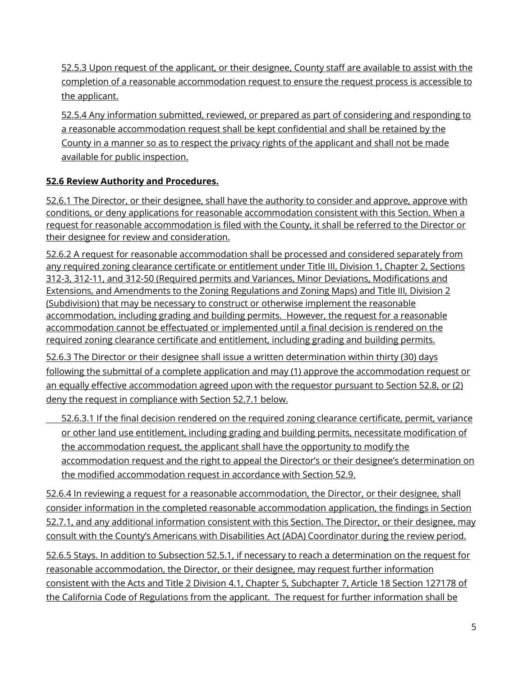52.5.3 Upon request of the applicant, or their designee, County staff are available to assist with the completion of a reasonable accommodation request to ensure the request process is accessible to the applicant.

52.5.4 Any information submitted, reviewed, or prepared as part of considering and responding to a reasonable accommodation request shall be kept confidential and shall be retained by the County in a manner so as to respect the privacy rights of the applicant and shall not be made available for public inspection.

## **52.6 Review Authority and Procedures.**

52.6.1 The Director, or their designee, shall have the authority to consider and approve, approve with conditions, or deny applications for reasonable accommodation consistent with this Section. When a request for reasonable accommodation is filed with the County, it shall be referred to the Director or their designee for review and consideration.

52.6.2 A request for reasonable accommodation shall be processed and considered separately from any required zoning clearance certificate or entitlement under Title III, Division 1, Chapter 2, Sections 312-3, 312-11, and 312-50 (Required permits and Variances, Minor Deviations, Modifications and Extensions, and Amendments to the Zoning Regulations and Zoning Maps) and Title III, Division 2 (Subdivision) that may be necessary to construct or otherwise implement the reasonable accommodation, including grading and building permits. However, the request for a reasonable accommodation cannot be effectuated or implemented until a final decision is rendered on the required zoning clearance certificate and entitlement, including grading and building permits.

52.6.3 The Director or their designee shall issue a written determination within thirty (30) days following the submittal of a complete application and may (1) approve the accommodation request or an equally effective accommodation agreed upon with the requestor pursuant to Section 52.8, or (2) deny the request in compliance with Section 52.7.1 below.

52.6.3.1 If the final decision rendered on the required zoning clearance certificate, permit, variance or other land use entitlement, including grading and building permits, necessitate modification of the accommodation request, the applicant shall have the opportunity to modify the accommodation request and the right to appeal the Director's or their designee's determination on the modified accommodation request in accordance with Section 52.9.

52.6.4 In reviewing a request for a reasonable accommodation, the Director, or their designee, shall consider information in the completed reasonable accommodation application, the findings in Section 52.7.1, and any additional information consistent with this Section. The Director, or their designee, may consult with the County's Americans with Disabilities Act (ADA) Coordinator during the review period.

52.6.5 Stays. In addition to Subsection 52.5.1, if necessary to reach a determination on the request for reasonable accommodation, the Director, or their designee, may request further information consistent with the Acts and Title 2 Division 4.1, Chapter 5, Subchapter 7, Article 18 Section 127178 of the California Code of Regulations from the applicant. The request for further information shall be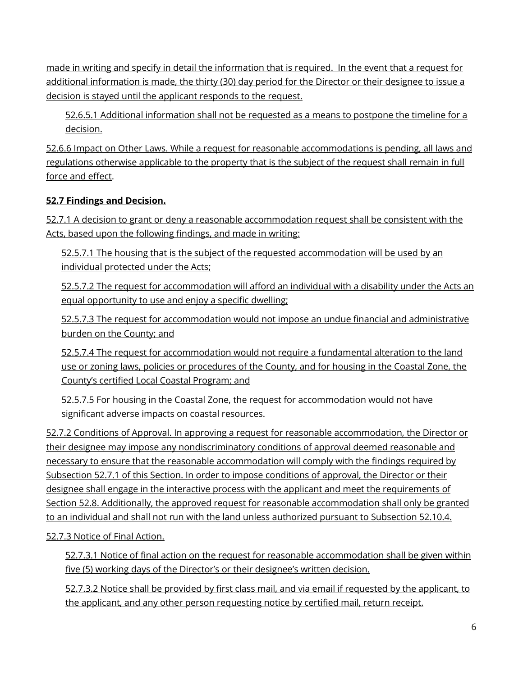made in writing and specify in detail the information that is required. In the event that a request for additional information is made, the thirty (30) day period for the Director or their designee to issue a decision is stayed until the applicant responds to the request.

52.6.5.1 Additional information shall not be requested as a means to postpone the timeline for a decision.

52.6.6 Impact on Other Laws. While a request for reasonable accommodations is pending, all laws and regulations otherwise applicable to the property that is the subject of the request shall remain in full force and effect.

#### **52.7 Findings and Decision.**

52.7.1 A decision to grant or deny a reasonable accommodation request shall be consistent with the Acts, based upon the following findings, and made in writing:

52.5.7.1 The housing that is the subject of the requested accommodation will be used by an individual protected under the Acts;

52.5.7.2 The request for accommodation will afford an individual with a disability under the Acts an equal opportunity to use and enjoy a specific dwelling;

52.5.7.3 The request for accommodation would not impose an undue financial and administrative burden on the County; and

52.5.7.4 The request for accommodation would not require a fundamental alteration to the land use or zoning laws, policies or procedures of the County, and for housing in the Coastal Zone, the County's certified Local Coastal Program; and

52.5.7.5 For housing in the Coastal Zone, the request for accommodation would not have significant adverse impacts on coastal resources.

52.7.2 Conditions of Approval. In approving a request for reasonable accommodation, the Director or their designee may impose any nondiscriminatory conditions of approval deemed reasonable and necessary to ensure that the reasonable accommodation will comply with the findings required by Subsection 52.7.1 of this Section. In order to impose conditions of approval, the Director or their designee shall engage in the interactive process with the applicant and meet the requirements of Section 52.8. Additionally, the approved request for reasonable accommodation shall only be granted to an individual and shall not run with the land unless authorized pursuant to Subsection 52.10.4.

52.7.3 Notice of Final Action.

52.7.3.1 Notice of final action on the request for reasonable accommodation shall be given within five (5) working days of the Director's or their designee's written decision.

52.7.3.2 Notice shall be provided by first class mail, and via email if requested by the applicant, to the applicant, and any other person requesting notice by certified mail, return receipt.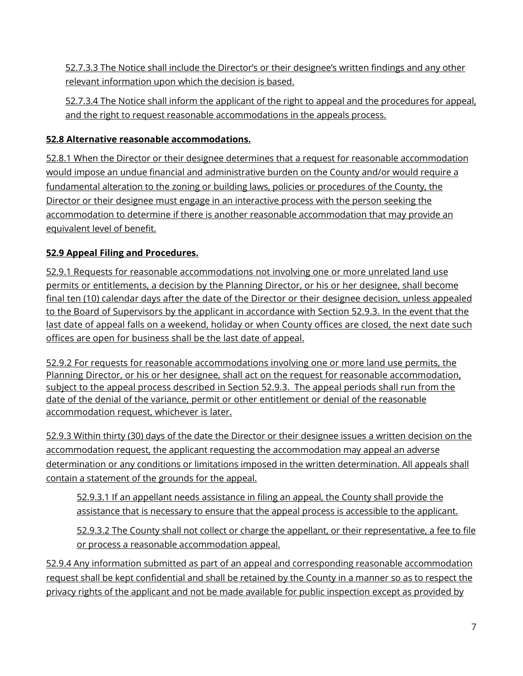52.7.3.3 The Notice shall include the Director's or their designee's written findings and any other relevant information upon which the decision is based.

52.7.3.4 The Notice shall inform the applicant of the right to appeal and the procedures for appeal, and the right to request reasonable accommodations in the appeals process.

## **52.8 Alternative reasonable accommodations.**

52.8.1 When the Director or their designee determines that a request for reasonable accommodation would impose an undue financial and administrative burden on the County and/or would require a fundamental alteration to the zoning or building laws, policies or procedures of the County, the Director or their designee must engage in an interactive process with the person seeking the accommodation to determine if there is another reasonable accommodation that may provide an equivalent level of benefit.

# **52.9 Appeal Filing and Procedures.**

52.9.1 Requests for reasonable accommodations not involving one or more unrelated land use permits or entitlements, a decision by the Planning Director, or his or her designee, shall become final ten (10) calendar days after the date of the Director or their designee decision, unless appealed to the Board of Supervisors by the applicant in accordance with Section 52.9.3. In the event that the last date of appeal falls on a weekend, holiday or when County offices are closed, the next date such offices are open for business shall be the last date of appeal.

52.9.2 For requests for reasonable accommodations involving one or more land use permits, the Planning Director, or his or her designee, shall act on the request for reasonable accommodation, subject to the appeal process described in Section 52.9.3. The appeal periods shall run from the date of the denial of the variance, permit or other entitlement or denial of the reasonable accommodation request, whichever is later.

52.9.3 Within thirty (30) days of the date the Director or their designee issues a written decision on the accommodation request, the applicant requesting the accommodation may appeal an adverse determination or any conditions or limitations imposed in the written determination. All appeals shall contain a statement of the grounds for the appeal.

52.9.3.1 If an appellant needs assistance in filing an appeal, the County shall provide the assistance that is necessary to ensure that the appeal process is accessible to the applicant.

52.9.3.2 The County shall not collect or charge the appellant, or their representative, a fee to file or process a reasonable accommodation appeal.

52.9.4 Any information submitted as part of an appeal and corresponding reasonable accommodation request shall be kept confidential and shall be retained by the County in a manner so as to respect the privacy rights of the applicant and not be made available for public inspection except as provided by